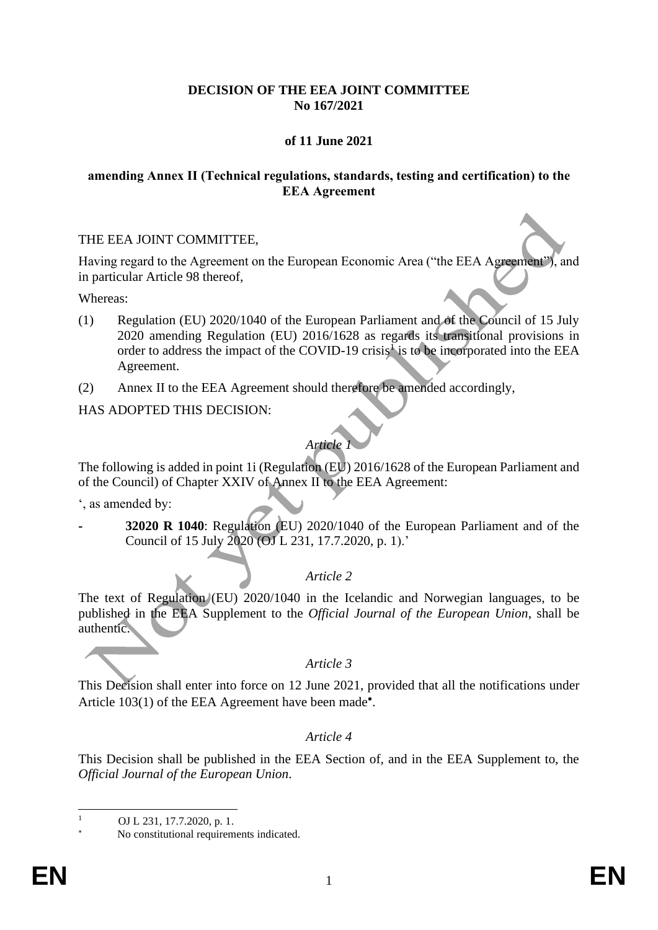### **DECISION OF THE EEA JOINT COMMITTEE No 167/2021**

## **of 11 June 2021**

### **amending Annex II (Technical regulations, standards, testing and certification) to the EEA Agreement**

### THE EEA JOINT COMMITTEE,

Having regard to the Agreement on the European Economic Area ("the EEA Agreement"), and in particular Article 98 thereof,

Whereas:

- (1) Regulation (EU) 2020/1040 of the European Parliament and of the Council of 15 July 2020 amending Regulation (EU) 2016/1628 as regards its transitional provisions in order to address the impact of the COVID-19 crisis<sup>1</sup> is to be incorporated into the EEA Agreement.
- (2) Annex II to the EEA Agreement should therefore be amended accordingly,

HAS ADOPTED THIS DECISION:

# *Article 1*

The following is added in point 1i (Regulation (EU) 2016/1628 of the European Parliament and of the Council) of Chapter XXIV of Annex II to the EEA Agreement:

', as amended by:

**- 32020 R 1040**: Regulation (EU) 2020/1040 of the European Parliament and of the Council of 15 July 2020 (OJ L 231, 17.7.2020, p. 1).'

### *Article 2*

The text of Regulation (EU) 2020/1040 in the Icelandic and Norwegian languages, to be published in the EEA Supplement to the *Official Journal of the European Union*, shall be authentic.

### *Article 3*

This Decision shall enter into force on 12 June 2021, provided that all the notifications under Article 103(1) of the EEA Agreement have been made<sup>\*</sup>.

### *Article 4*

This Decision shall be published in the EEA Section of, and in the EEA Supplement to, the *Official Journal of the European Union*.

 $1 \qquad \text{OJ L } 231, 17.7.2020, \text{p. 1}.$ 

No constitutional requirements indicated.